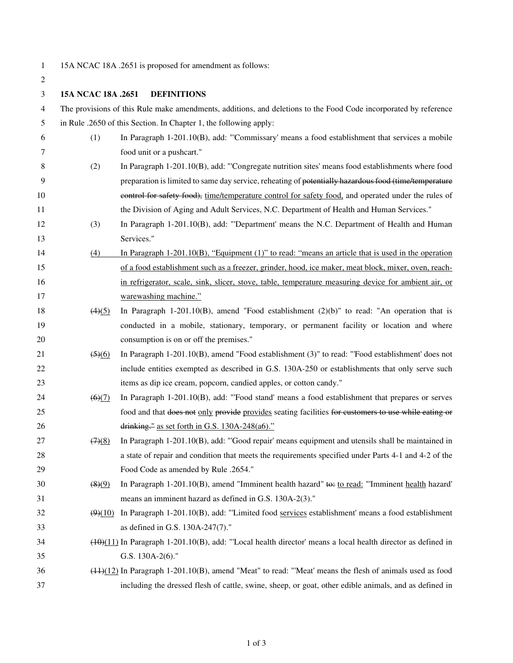1 15A NCAC 18A .2651 is proposed for amendment as follows:

| 2  |                                                                                                                  |                                                                                                               |  |
|----|------------------------------------------------------------------------------------------------------------------|---------------------------------------------------------------------------------------------------------------|--|
| 3  | 15A NCAC 18A .2651                                                                                               | <b>DEFINITIONS</b>                                                                                            |  |
| 4  | The provisions of this Rule make amendments, additions, and deletions to the Food Code incorporated by reference |                                                                                                               |  |
| 5  | in Rule .2650 of this Section. In Chapter 1, the following apply:                                                |                                                                                                               |  |
| 6  | (1)                                                                                                              | In Paragraph 1-201.10(B), add: "Commissary' means a food establishment that services a mobile                 |  |
| 7  |                                                                                                                  | food unit or a pushcart."                                                                                     |  |
| 8  | (2)                                                                                                              | In Paragraph 1-201.10(B), add: "Congregate nutrition sites' means food establishments where food              |  |
| 9  |                                                                                                                  | preparation is limited to same day service, reheating of potentially hazardous food (time/temperature         |  |
| 10 |                                                                                                                  | control for safety food), time/temperature control for safety food, and operated under the rules of           |  |
| 11 |                                                                                                                  | the Division of Aging and Adult Services, N.C. Department of Health and Human Services."                      |  |
| 12 | (3)                                                                                                              | In Paragraph 1-201.10(B), add: "Department' means the N.C. Department of Health and Human                     |  |
| 13 |                                                                                                                  | Services."                                                                                                    |  |
| 14 | (4)                                                                                                              | In Paragraph $1-201.10(B)$ , "Equipment (1)" to read: "means an article that is used in the operation         |  |
| 15 |                                                                                                                  | of a food establishment such as a freezer, grinder, hood, ice maker, meat block, mixer, oven, reach-          |  |
| 16 |                                                                                                                  | in refrigerator, scale, sink, slicer, stove, table, temperature measuring device for ambient air, or          |  |
| 17 |                                                                                                                  | warewashing machine."                                                                                         |  |
| 18 | (4)(5)                                                                                                           | In Paragraph 1-201.10(B), amend "Food establishment $(2)(b)$ " to read: "An operation that is                 |  |
| 19 |                                                                                                                  | conducted in a mobile, stationary, temporary, or permanent facility or location and where                     |  |
| 20 |                                                                                                                  | consumption is on or off the premises."                                                                       |  |
| 21 | $\left(5\right)\left(6\right)$                                                                                   | In Paragraph $1-201.10(B)$ , amend "Food establishment (3)" to read: "Food establishment" does not            |  |
| 22 |                                                                                                                  | include entities exempted as described in G.S. 130A-250 or establishments that only serve such                |  |
| 23 |                                                                                                                  | items as dip ice cream, popcorn, candied apples, or cotton candy."                                            |  |
| 24 | $\left(6\right)\left(7\right)$                                                                                   | In Paragraph 1-201.10(B), add: "Food stand' means a food establishment that prepares or serves                |  |
| 25 |                                                                                                                  | food and that does not only provide provides seating facilities for customers to use while eating or          |  |
| 26 |                                                                                                                  | drinking." as set forth in G.S. 130A-248(a6)."                                                                |  |
| 27 | (7)(8)                                                                                                           | In Paragraph 1-201.10(B), add: "Good repair' means equipment and utensils shall be maintained in              |  |
| 28 |                                                                                                                  | a state of repair and condition that meets the requirements specified under Parts 4-1 and 4-2 of the          |  |
| 29 |                                                                                                                  | Food Code as amended by Rule .2654."                                                                          |  |
| 30 | $\left( 8)(9)$                                                                                                   | In Paragraph 1-201.10(B), amend "Imminent health hazard" to: to read: "Imminent health hazard"                |  |
| 31 |                                                                                                                  | means an imminent hazard as defined in G.S. 130A-2(3)."                                                       |  |
| 32 | (9)(10)                                                                                                          | In Paragraph 1-201.10(B), add: "Limited food services establishment' means a food establishment               |  |
| 33 |                                                                                                                  | as defined in G.S. 130A-247(7)."                                                                              |  |
| 34 |                                                                                                                  | $(10)(11)$ In Paragraph 1-201.10(B), add: "Local health director' means a local health director as defined in |  |
| 35 |                                                                                                                  | G.S. 130A-2(6)."                                                                                              |  |
| 36 |                                                                                                                  | $(1.1)(1.2)$ In Paragraph 1-201.10(B), amend "Meat" to read: "Meat' means the flesh of animals used as food   |  |
| 37 |                                                                                                                  | including the dressed flesh of cattle, swine, sheep, or goat, other edible animals, and as defined in         |  |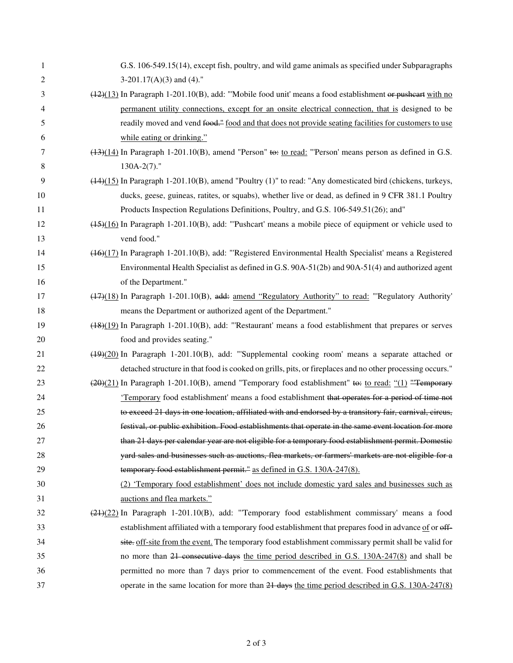| 1  | G.S. 106-549.15(14), except fish, poultry, and wild game animals as specified under Subparagraphs            |
|----|--------------------------------------------------------------------------------------------------------------|
| 2  | $3-201.17(A)(3)$ and (4)."                                                                                   |
| 3  | $(12)(13)$ In Paragraph 1-201.10(B), add: "Mobile food unit' means a food establishment or pusheart with no  |
| 4  | permanent utility connections, except for an onsite electrical connection, that is designed to be            |
| 5  | readily moved and vend food." food and that does not provide seating facilities for customers to use         |
| 6  | while eating or drinking."                                                                                   |
| 7  | $(13)(14)$ In Paragraph 1-201.10(B), amend "Person" to: to read: "Person' means person as defined in G.S.    |
| 8  | $130A-2(7)$ ."                                                                                               |
| 9  | $(44)(15)$ In Paragraph 1-201.10(B), amend "Poultry (1)" to read: "Any domesticated bird (chickens, turkeys, |
| 10 | ducks, geese, guineas, ratites, or squabs), whether live or dead, as defined in 9 CFR 381.1 Poultry          |
| 11 | Products Inspection Regulations Definitions, Poultry, and G.S. 106-549.51(26); and"                          |
| 12 | $(45)(16)$ In Paragraph 1-201.10(B), add: "Pushcart' means a mobile piece of equipment or vehicle used to    |
| 13 | vend food."                                                                                                  |
| 14 | (46)(17) In Paragraph 1-201.10(B), add: "Registered Environmental Health Specialist' means a Registered      |
| 15 | Environmental Health Specialist as defined in G.S. 90A-51(2b) and 90A-51(4) and authorized agent             |
| 16 | of the Department."                                                                                          |
| 17 | (47)(18) In Paragraph 1-201.10(B), add: amend "Regulatory Authority" to read: "Regulatory Authority"         |
| 18 | means the Department or authorized agent of the Department."                                                 |
| 19 | (48)(19) In Paragraph 1-201.10(B), add: "Restaurant' means a food establishment that prepares or serves      |
| 20 | food and provides seating."                                                                                  |
| 21 | $(49)(20)$ In Paragraph 1-201.10(B), add: "Supplemental cooking room' means a separate attached or           |
| 22 | detached structure in that food is cooked on grills, pits, or fireplaces and no other processing occurs."    |
| 23 | $(20)(21)$ In Paragraph 1-201.10(B), amend "Temporary food establishment" to: to read: "(1) "Temporary       |
| 24 | <i>'Temporary</i> food establishment' means a food establishment that operates for a period of time not      |
| 25 | to exceed 21 days in one location, affiliated with and endorsed by a transitory fair, carnival, circus,      |
| 26 | festival, or public exhibition. Food establishments that operate in the same event location for more         |
| 27 | than 21 days per calendar year are not eligible for a temporary food establishment permit. Domestic          |
| 28 | yard sales and businesses such as auctions, flea markets, or farmers' markets are not eligible for a         |
| 29 | temporary food establishment permit." as defined in G.S. 130A-247(8).                                        |
| 30 | (2) 'Temporary food establishment' does not include domestic yard sales and businesses such as               |
| 31 | auctions and flea markets."                                                                                  |
| 32 | (21)(22) In Paragraph 1-201.10(B), add: "Temporary food establishment commissary' means a food               |
| 33 | establishment affiliated with a temporary food establishment that prepares food in advance of or off-        |
| 34 | site. off-site from the event. The temporary food establishment commissary permit shall be valid for         |
| 35 | no more than 21 consecutive days the time period described in G.S. 130A-247(8) and shall be                  |
| 36 | permitted no more than 7 days prior to commencement of the event. Food establishments that                   |
| 37 | operate in the same location for more than 21 days the time period described in G.S. 130A-247(8)             |